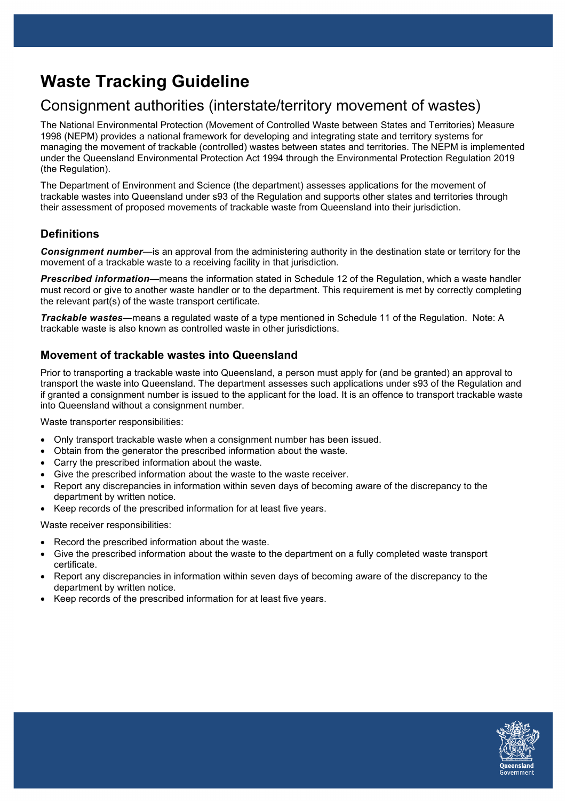# **Waste Tracking Guideline**

# Consignment authorities (interstate/territory movement of wastes)

The National Environmental Protection (Movement of Controlled Waste between States and Territories) Measure 1998 (NEPM) provides a national framework for developing and integrating state and territory systems for managing the movement of trackable (controlled) wastes between states and territories. The NEPM is implemented under the Queensland Environmental Protection Act 1994 through the Environmental Protection Regulation 2019 (the Regulation).

The Department of Environment and Science (the department) assesses applications for the movement of trackable wastes into Queensland under s93 of the Regulation and supports other states and territories through their assessment of proposed movements of trackable waste from Queensland into their jurisdiction.

# **Definitions**

*Consignment number*—is an approval from the administering authority in the destination state or territory for the movement of a trackable waste to a receiving facility in that jurisdiction.

*Prescribed information*—means the information stated in Schedule 12 of the Regulation, which a waste handler must record or give to another waste handler or to the department. This requirement is met by correctly completing the relevant part(s) of the waste transport certificate.

*Trackable wastes*—means a regulated waste of a type mentioned in Schedule 11 of the Regulation. Note: A trackable waste is also known as controlled waste in other jurisdictions.

# **Movement of trackable wastes into Queensland**

Prior to transporting a trackable waste into Queensland, a person must apply for (and be granted) an approval to transport the waste into Queensland. The department assesses such applications under s93 of the Regulation and if granted a consignment number is issued to the applicant for the load. It is an offence to transport trackable waste into Queensland without a consignment number.

Waste transporter responsibilities:

- Only transport trackable waste when a consignment number has been issued.
- Obtain from the generator the prescribed information about the waste.
- Carry the prescribed information about the waste.
- Give the prescribed information about the waste to the waste receiver.
- Report any discrepancies in information within seven days of becoming aware of the discrepancy to the department by written notice.
- Keep records of the prescribed information for at least five years.

Waste receiver responsibilities:

- Record the prescribed information about the waste.
- Give the prescribed information about the waste to the department on a fully completed waste transport certificate.
- Report any discrepancies in information within seven days of becoming aware of the discrepancy to the department by written notice.
- Keep records of the prescribed information for at least five years.

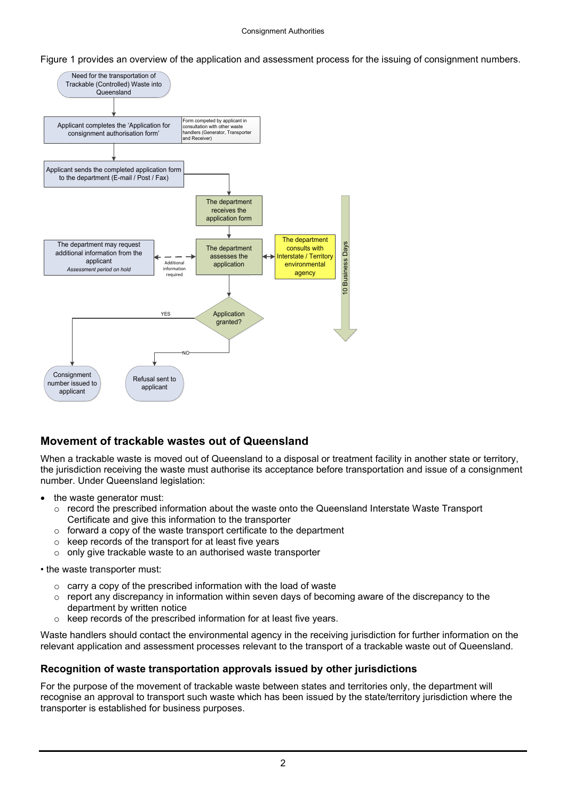Figure 1 provides an overview of the application and assessment process for the issuing of consignment numbers.



# **Movement of trackable wastes out of Queensland**

When a trackable waste is moved out of Queensland to a disposal or treatment facility in another state or territory, the jurisdiction receiving the waste must authorise its acceptance before transportation and issue of a consignment number. Under Queensland legislation:

- the waste generator must:
	- $\circ$  record the prescribed information about the waste onto the Queensland Interstate Waste Transport Certificate and give this information to the transporter
	- $\circ$  forward a copy of the waste transport certificate to the department
	- $\circ$  keep records of the transport for at least five years
	- o only give trackable waste to an authorised waste transporter

• the waste transporter must:

- $\circ$  carry a copy of the prescribed information with the load of waste
- $\circ$  report any discrepancy in information within seven days of becoming aware of the discrepancy to the department by written notice
- keep records of the prescribed information for at least five years.

Waste handlers should contact the environmental agency in the receiving jurisdiction for further information on the relevant application and assessment processes relevant to the transport of a trackable waste out of Queensland.

## **Recognition of waste transportation approvals issued by other jurisdictions**

For the purpose of the movement of trackable waste between states and territories only, the department will recognise an approval to transport such waste which has been issued by the state/territory jurisdiction where the transporter is established for business purposes.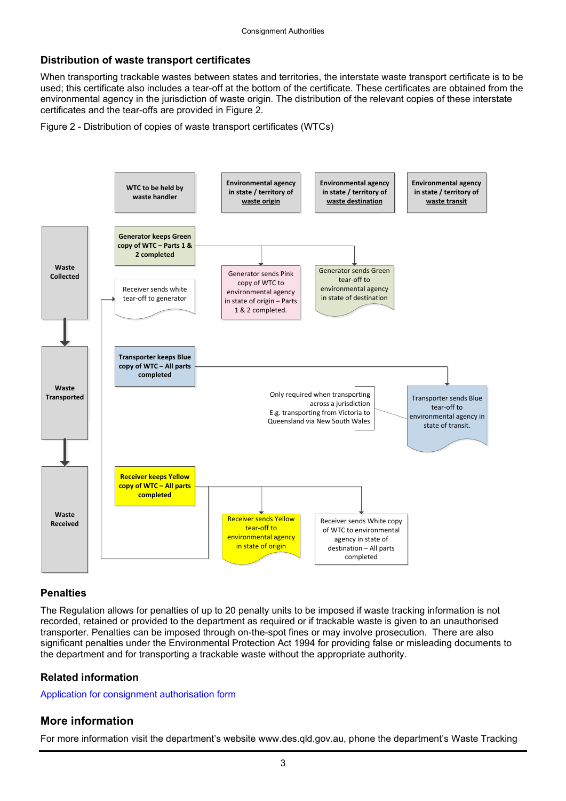#### **Distribution of waste transport certificates**

When transporting trackable wastes between states and territories, the interstate waste transport certificate is to be used; this certificate also includes a tear-off at the bottom of the certificate. These certificates are obtained from the environmental agency in the jurisdiction of waste origin. The distribution of the relevant copies of these interstate certificates and the tear-offs are provided in Figure 2.

Figure 2 - Distribution of copies of waste transport certificates (WTCs)



#### **Penalties**

The Regulation allows for penalties of up to 20 penalty units to be imposed if waste tracking information is not recorded, retained or provided to the department as required or if trackable waste is given to an unauthorised transporter. Penalties can be imposed through on-the-spot fines or may involve prosecution. There are also significant penalties under the Environmental Protection Act 1994 for providing false or misleading documents to the department and for transporting a trackable waste without the appropriate authority.

#### **Related information**

[Application for consignment authorisation form](http://www.ehp.qld.gov.au/waste/guidelines-information.html)

## **More information**

For more information visit the department's website www.des.qld.gov.au, phone the department's Waste Tracking